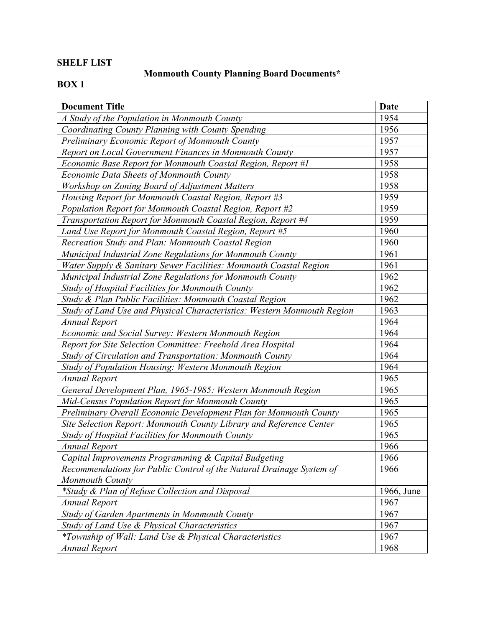### **SHELF LIST**

# **Monmouth County Planning Board Documents\***

| <b>Document Title</b>                                                   | Date       |
|-------------------------------------------------------------------------|------------|
| A Study of the Population in Monmouth County                            | 1954       |
| Coordinating County Planning with County Spending                       | 1956       |
| Preliminary Economic Report of Monmouth County                          | 1957       |
| Report on Local Government Finances in Monmouth County                  | 1957       |
| Economic Base Report for Monmouth Coastal Region, Report #1             | 1958       |
| Economic Data Sheets of Monmouth County                                 | 1958       |
| Workshop on Zoning Board of Adjustment Matters                          | 1958       |
| Housing Report for Monmouth Coastal Region, Report #3                   | 1959       |
| Population Report for Monmouth Coastal Region, Report #2                | 1959       |
| Transportation Report for Monmouth Coastal Region, Report #4            | 1959       |
| Land Use Report for Monmouth Coastal Region, Report #5                  | 1960       |
| Recreation Study and Plan: Monmouth Coastal Region                      | 1960       |
| Municipal Industrial Zone Regulations for Monmouth County               | 1961       |
| Water Supply & Sanitary Sewer Facilities: Monmouth Coastal Region       | 1961       |
| Municipal Industrial Zone Regulations for Monmouth County               | 1962       |
| Study of Hospital Facilities for Monmouth County                        | 1962       |
| Study & Plan Public Facilities: Monmouth Coastal Region                 | 1962       |
| Study of Land Use and Physical Characteristics: Western Monmouth Region | 1963       |
| <b>Annual Report</b>                                                    | 1964       |
| Economic and Social Survey: Western Monmouth Region                     | 1964       |
| Report for Site Selection Committee: Freehold Area Hospital             | 1964       |
| Study of Circulation and Transportation: Monmouth County                | 1964       |
| Study of Population Housing: Western Monmouth Region                    | 1964       |
| <b>Annual Report</b>                                                    | 1965       |
| General Development Plan, 1965-1985: Western Monmouth Region            | 1965       |
| Mid-Census Population Report for Monmouth County                        | 1965       |
| Preliminary Overall Economic Development Plan for Monmouth County       | 1965       |
| Site Selection Report: Monmouth County Library and Reference Center     | 1965       |
| Study of Hospital Facilities for Monmouth County                        | 1965       |
| Annual Report                                                           | 1966       |
| Capital Improvements Programming & Capital Budgeting                    | 1966       |
| Recommendations for Public Control of the Natural Drainage System of    | 1966       |
| <b>Monmouth County</b>                                                  |            |
| *Study & Plan of Refuse Collection and Disposal                         | 1966, June |
| <b>Annual Report</b>                                                    | 1967       |
| Study of Garden Apartments in Monmouth County                           | 1967       |
| Study of Land Use & Physical Characteristics                            | 1967       |
| *Township of Wall: Land Use & Physical Characteristics                  | 1967       |
| <b>Annual Report</b>                                                    | 1968       |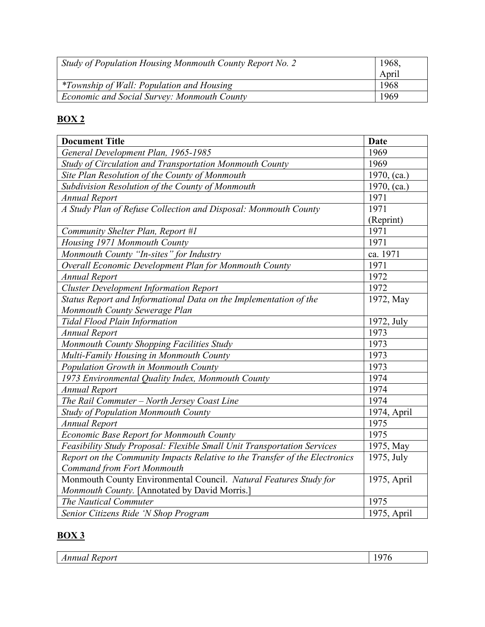| Study of Population Housing Monmouth County Report No. 2 | 1968, |
|----------------------------------------------------------|-------|
|                                                          | April |
| <i>*Township of Wall: Population and Housing</i>         | 1968  |
| Economic and Social Survey: Monmouth County              | 1969  |

| <b>Document Title</b>                                                       | <b>Date</b> |
|-----------------------------------------------------------------------------|-------------|
| General Development Plan, 1965-1985                                         | 1969        |
| Study of Circulation and Transportation Monmouth County                     | 1969        |
| Site Plan Resolution of the County of Monmouth                              | 1970, (ca.) |
| Subdivision Resolution of the County of Monmouth                            | 1970, (ca.) |
| <b>Annual Report</b>                                                        | 1971        |
| A Study Plan of Refuse Collection and Disposal: Monmouth County             | 1971        |
|                                                                             | (Reprint)   |
| Community Shelter Plan, Report #1                                           | 1971        |
| Housing 1971 Monmouth County                                                | 1971        |
| Monmouth County "In-sites" for Industry                                     | ca. 1971    |
| Overall Economic Development Plan for Monmouth County                       | 1971        |
| <b>Annual Report</b>                                                        | 1972        |
| <b>Cluster Development Information Report</b>                               | 1972        |
| Status Report and Informational Data on the Implementation of the           | 1972, May   |
| Monmouth County Sewerage Plan                                               |             |
| <b>Tidal Flood Plain Information</b>                                        | 1972, July  |
| <b>Annual Report</b>                                                        | 1973        |
| Monmouth County Shopping Facilities Study                                   | 1973        |
| Multi-Family Housing in Monmouth County                                     | 1973        |
| Population Growth in Monmouth County                                        | 1973        |
| 1973 Environmental Quality Index, Monmouth County                           | 1974        |
| <b>Annual Report</b>                                                        | 1974        |
| The Rail Commuter - North Jersey Coast Line                                 | 1974        |
| <b>Study of Population Monmouth County</b>                                  | 1974, April |
| <b>Annual Report</b>                                                        | 1975        |
| Economic Base Report for Monmouth County                                    | 1975        |
| Feasibility Study Proposal: Flexible Small Unit Transportation Services     | 1975, May   |
| Report on the Community Impacts Relative to the Transfer of the Electronics | 1975, July  |
| <b>Command from Fort Monmouth</b>                                           |             |
| Monmouth County Environmental Council. Natural Features Study for           | 1975, April |
| Monmouth County. [Annotated by David Morris.]                               |             |
| The Nautical Commuter                                                       | 1975        |
| Senior Citizens Ride 'N Shop Program                                        | 1975, April |

| $\sim$ 141<br>.<br>"''<br>м | $\sim$<br>л.<br>. . |
|-----------------------------|---------------------|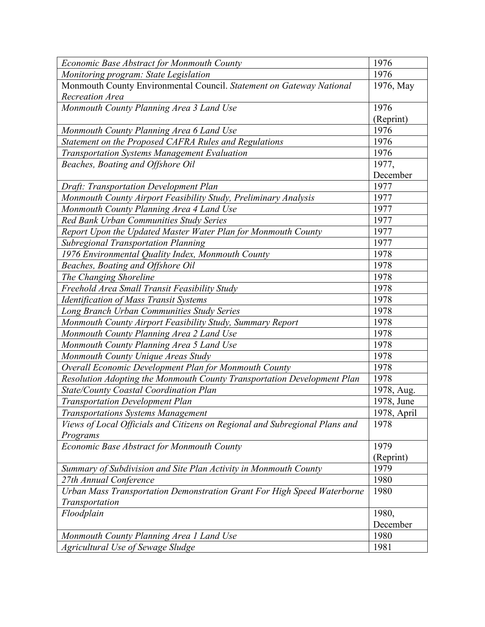| Economic Base Abstract for Monmouth County                                  | 1976        |
|-----------------------------------------------------------------------------|-------------|
| Monitoring program: State Legislation                                       | 1976        |
| Monmouth County Environmental Council. Statement on Gateway National        | 1976, May   |
| <b>Recreation Area</b>                                                      |             |
| Monmouth County Planning Area 3 Land Use                                    | 1976        |
|                                                                             | (Reprint)   |
| Monmouth County Planning Area 6 Land Use                                    | 1976        |
| Statement on the Proposed CAFRA Rules and Regulations                       | 1976        |
| Transportation Systems Management Evaluation                                | 1976        |
| Beaches, Boating and Offshore Oil                                           | 1977,       |
|                                                                             | December    |
| Draft: Transportation Development Plan                                      | 1977        |
| Monmouth County Airport Feasibility Study, Preliminary Analysis             | 1977        |
| Monmouth County Planning Area 4 Land Use                                    | 1977        |
| Red Bank Urban Communities Study Series                                     | 1977        |
| Report Upon the Updated Master Water Plan for Monmouth County               | 1977        |
| <b>Subregional Transportation Planning</b>                                  | 1977        |
| 1976 Environmental Quality Index, Monmouth County                           | 1978        |
| Beaches, Boating and Offshore Oil                                           | 1978        |
| The Changing Shoreline                                                      | 1978        |
| Freehold Area Small Transit Feasibility Study                               | 1978        |
| <b>Identification of Mass Transit Systems</b>                               | 1978        |
| Long Branch Urban Communities Study Series                                  | 1978        |
| Monmouth County Airport Feasibility Study, Summary Report                   | 1978        |
| Monmouth County Planning Area 2 Land Use                                    | 1978        |
| Monmouth County Planning Area 5 Land Use                                    | 1978        |
| Monmouth County Unique Areas Study                                          | 1978        |
| Overall Economic Development Plan for Monmouth County                       | 1978        |
| Resolution Adopting the Monmouth County Transportation Development Plan     | 1978        |
| <b>State/County Coastal Coordination Plan</b>                               | 1978, Aug.  |
| <b>Transportation Development Plan</b>                                      | 1978, June  |
| Transportations Systems Management                                          | 1978, April |
| Views of Local Officials and Citizens on Regional and Subregional Plans and | 1978        |
| Programs                                                                    |             |
| Economic Base Abstract for Monmouth County                                  | 1979        |
|                                                                             | (Reprint)   |
| Summary of Subdivision and Site Plan Activity in Monmouth County            | 1979        |
| 27th Annual Conference                                                      | 1980        |
| Urban Mass Transportation Demonstration Grant For High Speed Waterborne     | 1980        |
| Transportation                                                              |             |
| Floodplain                                                                  | 1980,       |
|                                                                             | December    |
| Monmouth County Planning Area 1 Land Use                                    | 1980        |
| Agricultural Use of Sewage Sludge                                           | 1981        |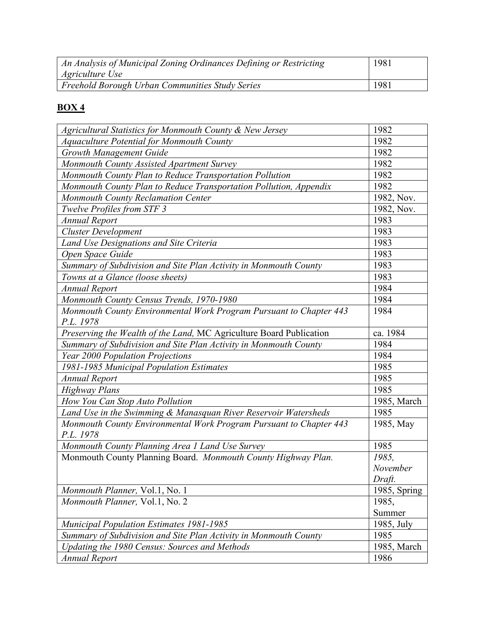| An Analysis of Municipal Zoning Ordinances Defining or Restricting<br><i>Agriculture Use</i> | 1981 |
|----------------------------------------------------------------------------------------------|------|
| Freehold Borough Urban Communities Study Series                                              | 1981 |

| Agricultural Statistics for Monmouth County & New Jersey            | 1982         |
|---------------------------------------------------------------------|--------------|
| <b>Aquaculture Potential for Monmouth County</b>                    | 1982         |
| <b>Growth Management Guide</b>                                      | 1982         |
| Monmouth County Assisted Apartment Survey                           | 1982         |
| Monmouth County Plan to Reduce Transportation Pollution             | 1982         |
| Monmouth County Plan to Reduce Transportation Pollution, Appendix   | 1982         |
| <b>Monmouth County Reclamation Center</b>                           | 1982, Nov.   |
| <b>Twelve Profiles from STF 3</b>                                   | 1982, Nov.   |
| <b>Annual Report</b>                                                | 1983         |
| <b>Cluster Development</b>                                          | 1983         |
| Land Use Designations and Site Criteria                             | 1983         |
| Open Space Guide                                                    | 1983         |
| Summary of Subdivision and Site Plan Activity in Monmouth County    | 1983         |
| Towns at a Glance (loose sheets)                                    | 1983         |
| <b>Annual Report</b>                                                | 1984         |
| Monmouth County Census Trends, 1970-1980                            | 1984         |
| Monmouth County Environmental Work Program Pursuant to Chapter 443  | 1984         |
| P.L. 1978                                                           |              |
| Preserving the Wealth of the Land, MC Agriculture Board Publication | ca. 1984     |
| Summary of Subdivision and Site Plan Activity in Monmouth County    | 1984         |
| Year 2000 Population Projections                                    | 1984         |
| 1981-1985 Municipal Population Estimates                            | 1985         |
| <b>Annual Report</b>                                                | 1985         |
| <b>Highway Plans</b>                                                | 1985         |
| How You Can Stop Auto Pollution                                     | 1985, March  |
| Land Use in the Swimming & Manasquan River Reservoir Watersheds     | 1985         |
| Monmouth County Environmental Work Program Pursuant to Chapter 443  | 1985, May    |
| P.L. 1978                                                           |              |
| Monmouth County Planning Area 1 Land Use Survey                     | 1985         |
| Monmouth County Planning Board. Monmouth County Highway Plan.       | 1985,        |
|                                                                     | November     |
|                                                                     | Draft.       |
| Monmouth Planner, Vol.1, No. 1                                      | 1985, Spring |
| Monmouth Planner, Vol.1, No. 2                                      | 1985,        |
|                                                                     | Summer       |
| <b>Municipal Population Estimates 1981-1985</b>                     | 1985, July   |
| Summary of Subdivision and Site Plan Activity in Monmouth County    | 1985         |
| Updating the 1980 Census: Sources and Methods                       | 1985, March  |
| <b>Annual Report</b>                                                | 1986         |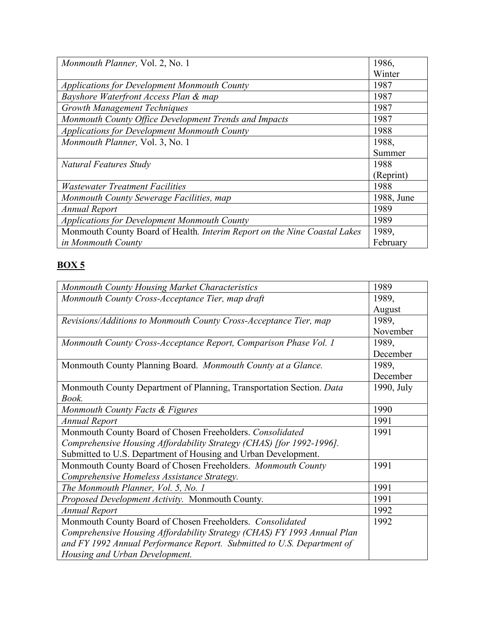| Monmouth Planner, Vol. 2, No. 1                                           | 1986,      |
|---------------------------------------------------------------------------|------------|
|                                                                           | Winter     |
| <b>Applications for Development Monmouth County</b>                       | 1987       |
| Bayshore Waterfront Access Plan & map                                     | 1987       |
| <b>Growth Management Techniques</b>                                       | 1987       |
| Monmouth County Office Development Trends and Impacts                     | 1987       |
| <b>Applications for Development Monmouth County</b>                       | 1988       |
| Monmouth Planner, Vol. 3, No. 1                                           | 1988,      |
|                                                                           | Summer     |
| Natural Features Study                                                    | 1988       |
|                                                                           | (Reprint)  |
| <b>Wastewater Treatment Facilities</b>                                    | 1988       |
| Monmouth County Sewerage Facilities, map                                  | 1988, June |
| <b>Annual Report</b>                                                      | 1989       |
| <b>Applications for Development Monmouth County</b>                       | 1989       |
| Monmouth County Board of Health. Interim Report on the Nine Coastal Lakes | 1989,      |
| in Monmouth County                                                        | February   |

| Monmouth County Housing Market Characteristics                          | 1989       |
|-------------------------------------------------------------------------|------------|
| Monmouth County Cross-Acceptance Tier, map draft                        | 1989,      |
|                                                                         | August     |
| Revisions/Additions to Monmouth County Cross-Acceptance Tier, map       | 1989,      |
|                                                                         | November   |
| Monmouth County Cross-Acceptance Report, Comparison Phase Vol. 1        | 1989,      |
|                                                                         | December   |
| Monmouth County Planning Board. Monmouth County at a Glance.            | 1989,      |
|                                                                         | December   |
| Monmouth County Department of Planning, Transportation Section. Data    | 1990, July |
| Book.                                                                   |            |
| Monmouth County Facts & Figures                                         | 1990       |
| <b>Annual Report</b>                                                    | 1991       |
| Monmouth County Board of Chosen Freeholders. Consolidated               | 1991       |
| Comprehensive Housing Affordability Strategy (CHAS) [for 1992-1996].    |            |
| Submitted to U.S. Department of Housing and Urban Development.          |            |
| Monmouth County Board of Chosen Freeholders. Monmouth County            | 1991       |
| Comprehensive Homeless Assistance Strategy.                             |            |
| The Monmouth Planner, Vol. 5, No. 1                                     | 1991       |
| Proposed Development Activity. Monmouth County.                         | 1991       |
| <b>Annual Report</b>                                                    | 1992       |
| Monmouth County Board of Chosen Freeholders. Consolidated               | 1992       |
| Comprehensive Housing Affordability Strategy (CHAS) FY 1993 Annual Plan |            |
| and FY 1992 Annual Performance Report. Submitted to U.S. Department of  |            |
| Housing and Urban Development.                                          |            |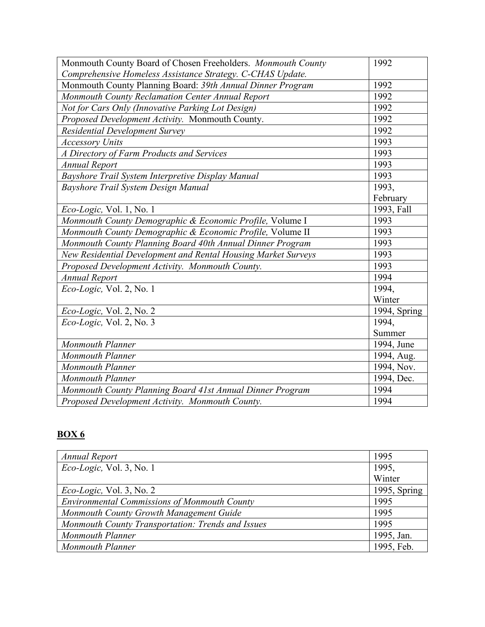| Monmouth County Board of Chosen Freeholders. Monmouth County  | 1992         |
|---------------------------------------------------------------|--------------|
| Comprehensive Homeless Assistance Strategy. C-CHAS Update.    |              |
| Monmouth County Planning Board: 39th Annual Dinner Program    | 1992         |
| Monmouth County Reclamation Center Annual Report              | 1992         |
| Not for Cars Only (Innovative Parking Lot Design)             | 1992         |
| Proposed Development Activity. Monmouth County.               | 1992         |
| Residential Development Survey                                | 1992         |
| <b>Accessory Units</b>                                        | 1993         |
| A Directory of Farm Products and Services                     | 1993         |
| <b>Annual Report</b>                                          | 1993         |
| Bayshore Trail System Interpretive Display Manual             | 1993         |
| Bayshore Trail System Design Manual                           | 1993,        |
|                                                               | February     |
| <i>Eco-Logic</i> , Vol. 1, No. 1                              | 1993, Fall   |
| Monmouth County Demographic & Economic Profile, Volume I      | 1993         |
| Monmouth County Demographic & Economic Profile, Volume II     | 1993         |
| Monmouth County Planning Board 40th Annual Dinner Program     | 1993         |
| New Residential Development and Rental Housing Market Surveys | 1993         |
| Proposed Development Activity. Monmouth County.               | 1993         |
| <b>Annual Report</b>                                          | 1994         |
| Eco-Logic, Vol. 2, No. 1                                      | 1994,        |
|                                                               | Winter       |
| Eco-Logic, Vol. 2, No. 2                                      | 1994, Spring |
| Eco-Logic, Vol. 2, No. 3                                      | 1994,        |
|                                                               | Summer       |
| <b>Monmouth Planner</b>                                       | 1994, June   |
| <b>Monmouth Planner</b>                                       | 1994, Aug.   |
| <b>Monmouth Planner</b>                                       | 1994, Nov.   |
| <b>Monmouth Planner</b>                                       | 1994, Dec.   |
| Monmouth County Planning Board 41st Annual Dinner Program     | 1994         |
| Proposed Development Activity. Monmouth County.               | 1994         |

| Annual Report                                       | 1995         |
|-----------------------------------------------------|--------------|
| Eco-Logic, Vol. 3, No. 1                            | 1995,        |
|                                                     | Winter       |
| $Eco-Logic$ , Vol. 3, No. 2                         | 1995, Spring |
| <b>Environmental Commissions of Monmouth County</b> | 1995         |
| Monmouth County Growth Management Guide             | 1995         |
| Monmouth County Transportation: Trends and Issues   | 1995         |
| <b>Monmouth Planner</b>                             | 1995, Jan.   |
| <b>Monmouth Planner</b>                             | 1995, Feb.   |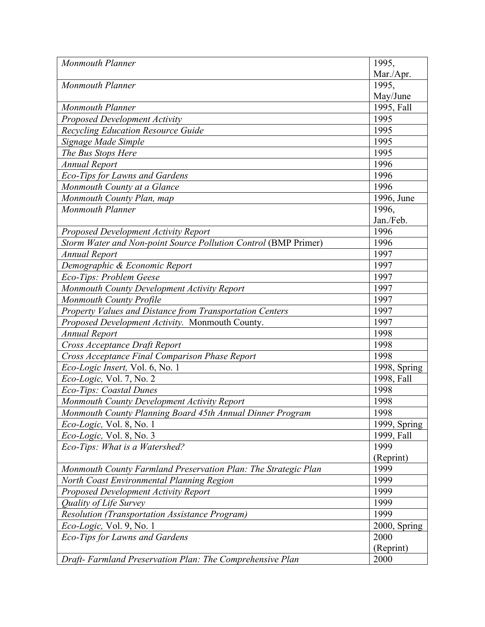| <b>Monmouth Planner</b>                                         | 1995,        |
|-----------------------------------------------------------------|--------------|
|                                                                 | Mar./Apr.    |
| <b>Monmouth Planner</b>                                         | 1995,        |
|                                                                 | May/June     |
| <b>Monmouth Planner</b>                                         | 1995, Fall   |
| <b>Proposed Development Activity</b>                            | 1995         |
| Recycling Education Resource Guide                              | 1995         |
| Signage Made Simple                                             | 1995         |
| The Bus Stops Here                                              | 1995         |
| <b>Annual Report</b>                                            | 1996         |
| Eco-Tips for Lawns and Gardens                                  | 1996         |
| Monmouth County at a Glance                                     | 1996         |
| Monmouth County Plan, map                                       | 1996, June   |
| <b>Monmouth Planner</b>                                         | 1996,        |
|                                                                 | Jan./Feb.    |
| <b>Proposed Development Activity Report</b>                     | 1996         |
| Storm Water and Non-point Source Pollution Control (BMP Primer) | 1996         |
| <b>Annual Report</b>                                            | 1997         |
| Demographic & Economic Report                                   | 1997         |
| Eco-Tips: Problem Geese                                         | 1997         |
| Monmouth County Development Activity Report                     | 1997         |
| <b>Monmouth County Profile</b>                                  | 1997         |
| Property Values and Distance from Transportation Centers        | 1997         |
| Proposed Development Activity. Monmouth County.                 | 1997         |
| <b>Annual Report</b>                                            | 1998         |
| Cross Acceptance Draft Report                                   | 1998         |
| Cross Acceptance Final Comparison Phase Report                  | 1998         |
| Eco-Logic Insert, Vol. 6, No. 1                                 | 1998, Spring |
| Eco-Logic, Vol. 7, No. 2                                        | 1998, Fall   |
| Eco-Tips: Coastal Dunes                                         | 1998         |
| Monmouth County Development Activity Report                     | 1998         |
| Monmouth County Planning Board 45th Annual Dinner Program       | 1998         |
| <i>Eco-Logic</i> , Vol. 8, No. 1                                | 1999, Spring |
| Eco-Logic, Vol. 8, No. 3                                        | 1999, Fall   |
| Eco-Tips: What is a Watershed?                                  | 1999         |
|                                                                 | (Reprint)    |
| Monmouth County Farmland Preservation Plan: The Strategic Plan  | 1999         |
| North Coast Environmental Planning Region                       | 1999         |
| Proposed Development Activity Report                            | 1999         |
| Quality of Life Survey                                          | 1999         |
| <b>Resolution (Transportation Assistance Program)</b>           | 1999         |
| Eco-Logic, Vol. 9, No. 1                                        | 2000, Spring |
| Eco-Tips for Lawns and Gardens                                  | 2000         |
|                                                                 | (Reprint)    |
| Draft- Farmland Preservation Plan: The Comprehensive Plan       | 2000         |